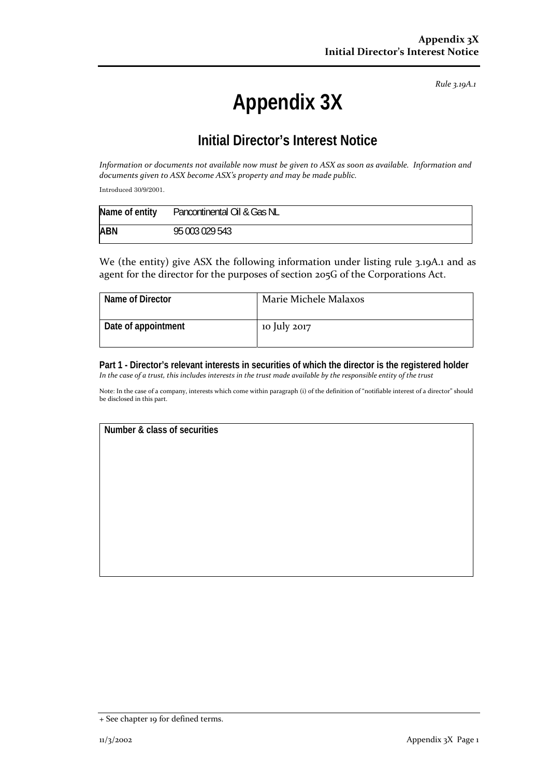*Rule 3.19A.1*

## **Appendix 3X**

## **Initial Director's Interest Notice**

Information or documents not available now must be given to ASX as soon as available. Information and *documents given to ASX become ASX's property and may be made public.*

Introduced 30/9/2001.

| Name of entity | Pancontinental Oil & Gas NL |
|----------------|-----------------------------|
| <b>ABN</b>     | 95 003 029 543              |

We (the entity) give ASX the following information under listing rule 3.19A.1 and as agent for the director for the purposes of section 205G of the Corporations Act.

| Name of Director    | Marie Michele Malaxos |
|---------------------|-----------------------|
| Date of appointment | 10 July 2017          |

**Part 1 - Director's relevant interests in securities of which the director is the registered holder**  In the case of a trust, this includes interests in the trust made available by the responsible entity of the trust

Note: In the case of a company, interests which come within paragraph (i) of the definition of "notifiable interest of a director" should be disclosed in this part.

**Number & class of securities** 

<sup>+</sup> See chapter 19 for defined terms.